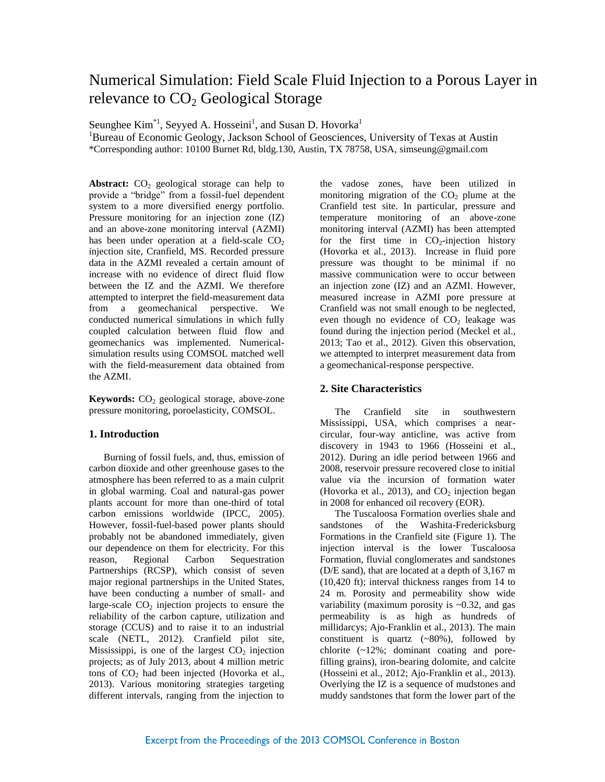# Numerical Simulation: Field Scale Fluid Injection to a Porous Layer in relevance to  $CO<sub>2</sub>$  Geological Storage

Seunghee  $Kim^{*1}$ , Seyyed A. Hosseini<sup>1</sup>, and Susan D. Hovorka<sup>1</sup>

<sup>1</sup>Bureau of Economic Geology, Jackson School of Geosciences, University of Texas at Austin \*Corresponding author: 10100 Burnet Rd, bldg.130, Austin, TX 78758, USA, simseung@gmail.com

**Abstract:**  $CO<sub>2</sub>$  geological storage can help to provide a "bridge" from a fossil-fuel dependent system to a more diversified energy portfolio. Pressure monitoring for an injection zone (IZ) and an above-zone monitoring interval (AZMI) has been under operation at a field-scale  $CO<sub>2</sub>$ injection site, Cranfield, MS. Recorded pressure data in the AZMI revealed a certain amount of increase with no evidence of direct fluid flow between the IZ and the AZMI. We therefore attempted to interpret the field-measurement data from a geomechanical perspective. We conducted numerical simulations in which fully coupled calculation between fluid flow and geomechanics was implemented. Numericalsimulation results using COMSOL matched well with the field-measurement data obtained from the AZMI.

**Keywords:** CO<sub>2</sub> geological storage, above-zone pressure monitoring, poroelasticity, COMSOL.

# **1. Introduction**

Burning of fossil fuels, and, thus, emission of carbon dioxide and other greenhouse gases to the atmosphere has been referred to as a main culprit in global warming. Coal and natural-gas power plants account for more than one-third of total carbon emissions worldwide (IPCC, 2005). However, fossil-fuel-based power plants should probably not be abandoned immediately, given our dependence on them for electricity. For this reason, Regional Carbon Sequestration Partnerships (RCSP), which consist of seven major regional partnerships in the United States, have been conducting a number of small- and large-scale  $CO<sub>2</sub>$  injection projects to ensure the reliability of the carbon capture, utilization and storage (CCUS) and to raise it to an industrial scale (NETL, 2012). Cranfield pilot site, Mississippi, is one of the largest  $CO<sub>2</sub>$  injection projects; as of July 2013, about 4 million metric tons of  $CO<sub>2</sub>$  had been injected (Hovorka et al., 2013). Various monitoring strategies targeting different intervals, ranging from the injection to

the vadose zones, have been utilized in monitoring migration of the  $CO<sub>2</sub>$  plume at the Cranfield test site. In particular, pressure and temperature monitoring of an above-zone monitoring interval (AZMI) has been attempted for the first time in  $CO<sub>2</sub>$ -injection history (Hovorka et al., 2013). Increase in fluid pore pressure was thought to be minimal if no massive communication were to occur between an injection zone (IZ) and an AZMI. However, measured increase in AZMI pore pressure at Cranfield was not small enough to be neglected, even though no evidence of  $CO<sub>2</sub>$  leakage was found during the injection period (Meckel et al., 2013; Tao et al., 2012). Given this observation, we attempted to interpret measurement data from a geomechanical-response perspective.

## **2. Site Characteristics**

The Cranfield site in southwestern Mississippi, USA, which comprises a nearcircular, four-way anticline, was active from discovery in 1943 to 1966 (Hosseini et al., 2012). During an idle period between 1966 and 2008, reservoir pressure recovered close to initial value via the incursion of formation water (Hovorka et al., 2013), and  $CO<sub>2</sub>$  injection began in 2008 for enhanced oil recovery (EOR).

The Tuscaloosa Formation overlies shale and sandstones of the Washita-Fredericksburg Formations in the Cranfield site (Figure 1). The injection interval is the lower Tuscaloosa Formation, fluvial conglomerates and sandstones (D/E sand), that are located at a depth of 3,167 m (10,420 ft); interval thickness ranges from 14 to 24 m. Porosity and permeability show wide variability (maximum porosity is  $\sim 0.32$ , and gas permeability is as high as hundreds of millidarcys; Ajo-Franklin et al., 2013). The main constituent is quartz  $(-80\%)$ , followed by chlorite (~12%; dominant coating and porefilling grains), iron-bearing dolomite, and calcite (Hosseini et al., 2012; Ajo-Franklin et al., 2013). Overlying the IZ is a sequence of mudstones and muddy sandstones that form the lower part of the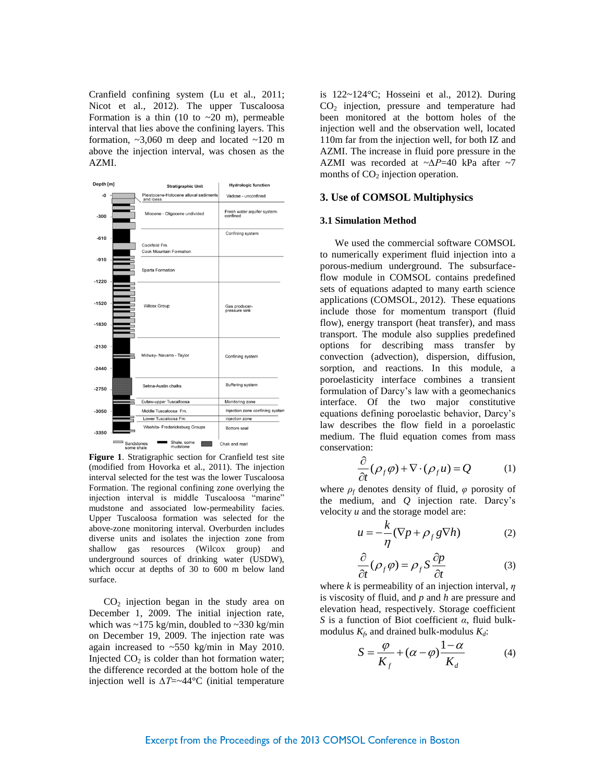Cranfield confining system (Lu et al., 2011; Nicot et al., 2012). The upper Tuscaloosa Formation is a thin  $(10 \text{ to } -20 \text{ m})$ , permeable interval that lies above the confining layers. This formation,  $\sim$ 3,060 m deep and located  $\sim$ 120 m above the injection interval, was chosen as the AZMI.



**Figure 1**. Stratigraphic section for Cranfield test site (modified from Hovorka et al., 2011). The injection interval selected for the test was the lower Tuscaloosa Formation. The regional confining zone overlying the injection interval is middle Tuscaloosa "marine" mudstone and associated low-permeability facies. Upper Tuscaloosa formation was selected for the above-zone monitoring interval. Overburden includes diverse units and isolates the injection zone from shallow gas resources (Wilcox group) and underground sources of drinking water (USDW), which occur at depths of 30 to 600 m below land surface.

 $CO<sub>2</sub>$  injection began in the study area on December 1, 2009. The initial injection rate, which was  $\sim$ 175 kg/min, doubled to  $\sim$ 330 kg/min on December 19, 2009. The injection rate was again increased to ~550 kg/min in May 2010. Injected  $CO<sub>2</sub>$  is colder than hot formation water; the difference recorded at the bottom hole of the injection well is *∆T*=~44°C (initial temperature is 122~124°C; Hosseini et al., 2012). During  $CO<sub>2</sub>$  injection, pressure and temperature had been monitored at the bottom holes of the injection well and the observation well, located 110m far from the injection well, for both IZ and AZMI. The increase in fluid pore pressure in the AZMI was recorded at ~*∆P*=40 kPa after ~7 months of  $CO<sub>2</sub>$  injection operation.

#### **3. Use of COMSOL Multiphysics**

#### **3.1 Simulation Method**

We used the commercial software COMSOL to numerically experiment fluid injection into a porous-medium underground. The subsurfaceflow module in COMSOL contains predefined sets of equations adapted to many earth science applications (COMSOL, 2012). These equations include those for momentum transport (fluid flow), energy transport (heat transfer), and mass transport. The module also supplies predefined options for describing mass transfer by convection (advection), dispersion, diffusion, sorption, and reactions. In this module, a poroelasticity interface combines a transient formulation of Darcy's law with a geomechanics interface. Of the two major constitutive equations defining poroelastic behavior, Darcy's law describes the flow field in a poroelastic medium. The fluid equation comes from mass conservation:

$$
\frac{\partial}{\partial t}(\rho_f \varphi) + \nabla \cdot (\rho_f u) = Q \tag{1}
$$

where  $\rho_f$  denotes density of fluid,  $\varphi$  porosity of the medium, and *Q* injection rate. Darcy's velocity *u* and the storage model are:

$$
u = -\frac{k}{\eta} (\nabla p + \rho_f g \nabla h)
$$
 (2)

$$
\frac{\partial}{\partial t}(\rho_f \varphi) = \rho_f S \frac{\partial p}{\partial t} \tag{3}
$$

where *k* is permeability of an injection interval, *η* is viscosity of fluid, and *p* and *h* are pressure and elevation head, respectively. Storage coefficient *S* is a function of Biot coefficient *α*, fluid bulkmodulus  $K_f$ , and drained bulk-modulus  $K_d$ :

$$
S = \frac{\varphi}{K_f} + (\alpha - \varphi) \frac{1 - \alpha}{K_d} \tag{4}
$$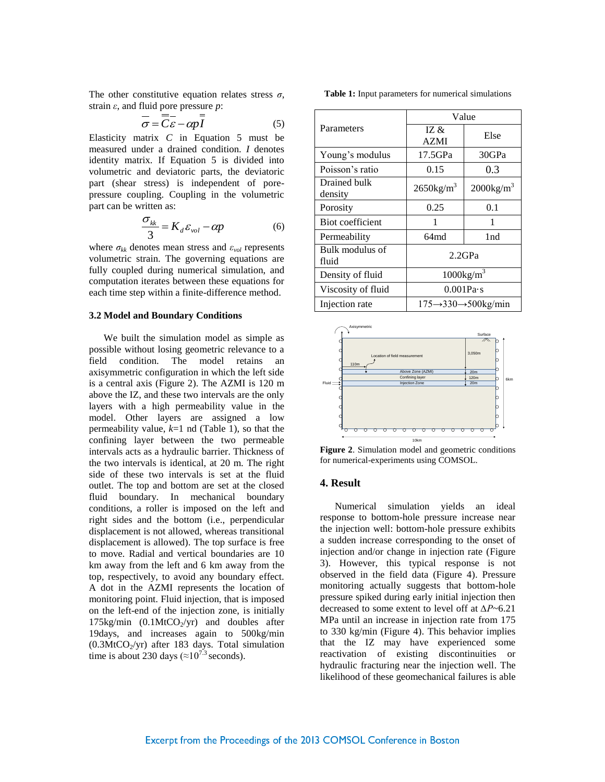The other constitutive equation relates stress  $\sigma$ , strain *ε*, and fluid pore pressure *p*:

$$
\overline{\sigma} = \overline{C}\overline{\varepsilon} - \alpha p \overline{I}
$$
 (5)

Elasticity matrix *C* in Equation 5 must be measured under a drained condition. *I* denotes identity matrix. If Equation 5 is divided into volumetric and deviatoric parts, the deviatoric part (shear stress) is independent of porepressure coupling. Coupling in the volumetric part can be written as:

$$
\frac{\sigma_{_{kk}}}{3} = K_d \varepsilon_{_{vol}} - \alpha p \tag{6}
$$

where  $\sigma_{kk}$  denotes mean stress and  $\varepsilon_{vol}$  represents volumetric strain. The governing equations are fully coupled during numerical simulation, and computation iterates between these equations for each time step within a finite-difference method.

#### **3.2 Model and Boundary Conditions**

We built the simulation model as simple as possible without losing geometric relevance to a field condition. The model retains an axisymmetric configuration in which the left side is a central axis (Figure 2). The AZMI is 120 m above the IZ, and these two intervals are the only layers with a high permeability value in the model. Other layers are assigned a low permeability value, *k*=1 nd (Table 1), so that the confining layer between the two permeable intervals acts as a hydraulic barrier. Thickness of the two intervals is identical, at 20 m. The right side of these two intervals is set at the fluid outlet. The top and bottom are set at the closed fluid boundary. In mechanical boundary conditions, a roller is imposed on the left and right sides and the bottom (i.e., perpendicular displacement is not allowed, whereas transitional displacement is allowed). The top surface is free to move. Radial and vertical boundaries are 10 km away from the left and 6 km away from the top, respectively, to avoid any boundary effect. A dot in the AZMI represents the location of monitoring point. Fluid injection, that is imposed on the left-end of the injection zone, is initially 175kg/min  $(0.1MtCO<sub>2</sub>/yr)$  and doubles after 19days, and increases again to 500kg/min  $(0.3MtCO<sub>2</sub>/yr)$  after 183 days. Total simulation time is about 230 days ( $\approx 10^{7.3}$  seconds).

**Table 1:** Input parameters for numerical simulations

| Parameters               | Value                                               |                          |
|--------------------------|-----------------------------------------------------|--------------------------|
|                          | IZ $\&$<br><b>AZMI</b>                              | Else                     |
| Young's modulus          | 17.5GPa                                             | 30GPa                    |
| Poisson's ratio          | 0.15                                                | 0.3                      |
| Drained bulk<br>density  | $2650$ kg/m <sup>3</sup>                            | $2000$ kg/m <sup>3</sup> |
| Porosity                 | 0.25                                                | 0.1                      |
| Biot coefficient         | 1                                                   | 1                        |
| Permeability             | 64md                                                | 1 nd                     |
| Bulk modulus of<br>fluid | $2.2$ GPa                                           |                          |
| Density of fluid         | $1000\text{kg/m}^3$                                 |                          |
| Viscosity of fluid       | $0.001Pa \cdot s$                                   |                          |
| Injection rate           | $175 \rightarrow 330 \rightarrow 500 \text{kg/min}$ |                          |



**Figure 2**. Simulation model and geometric conditions for numerical-experiments using COMSOL.

## **4. Result**

Numerical simulation yields an ideal response to bottom-hole pressure increase near the injection well: bottom-hole pressure exhibits a sudden increase corresponding to the onset of injection and/or change in injection rate (Figure 3). However, this typical response is not observed in the field data (Figure 4). Pressure monitoring actually suggests that bottom-hole pressure spiked during early initial injection then decreased to some extent to level off at *∆P*~6.21 MPa until an increase in injection rate from 175 to 330 kg/min (Figure 4). This behavior implies that the IZ may have experienced some reactivation of existing discontinuities or hydraulic fracturing near the injection well. The likelihood of these geomechanical failures is able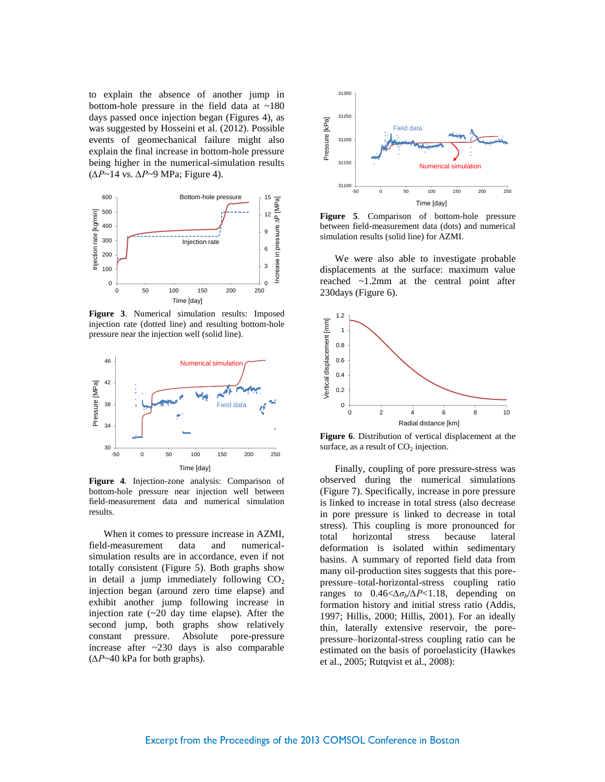to explain the absence of another jump in bottom-hole pressure in the field data at  $~180$ days passed once injection began (Figures 4), as was suggested by Hosseini et al. (2012). Possible events of geomechanical failure might also explain the final increase in bottom-hole pressure being higher in the numerical-simulation results (*∆P*~14 vs. *∆P*~9 MPa; Figure 4).



**Figure 3**. Numerical simulation results: Imposed injection rate (dotted line) and resulting bottom-hole pressure near the injection well (solid line).



**Figure 4**. Injection-zone analysis: Comparison of bottom-hole pressure near injection well between field-measurement data and numerical simulation results.

When it comes to pressure increase in AZMI, field-measurement data and numericalsimulation results are in accordance, even if not totally consistent (Figure 5). Both graphs show in detail a jump immediately following  $CO<sub>2</sub>$ injection began (around zero time elapse) and exhibit another jump following increase in injection rate  $(-20 \text{ day time elapse})$ . After the second jump, both graphs show relatively constant pressure. Absolute pore-pressure increase after ~230 days is also comparable (*∆P*~40 kPa for both graphs).



**Figure 5**. Comparison of bottom-hole pressure between field-measurement data (dots) and numerical simulation results (solid line) for AZMI.

We were also able to investigate probable displacements at the surface: maximum value reached ~1.2mm at the central point after 230days (Figure 6).



**Figure 6**. Distribution of vertical displacement at the surface, as a result of  $CO<sub>2</sub>$  injection.

Finally, coupling of pore pressure-stress was observed during the numerical simulations (Figure 7). Specifically, increase in pore pressure is linked to increase in total stress (also decrease in pore pressure is linked to decrease in total stress). This coupling is more pronounced for total horizontal stress because lateral deformation is isolated within sedimentary basins. A summary of reported field data from many oil-production sites suggests that this porepressure–total-horizontal-stress coupling ratio ranges to 0.46<*∆σh*/*∆P*<1.18, depending on formation history and initial stress ratio (Addis, 1997; Hillis, 2000; Hillis, 2001). For an ideally thin, laterally extensive reservoir, the porepressure–horizontal-stress coupling ratio can be estimated on the basis of poroelasticity (Hawkes et al., 2005; Rutqvist et al., 2008):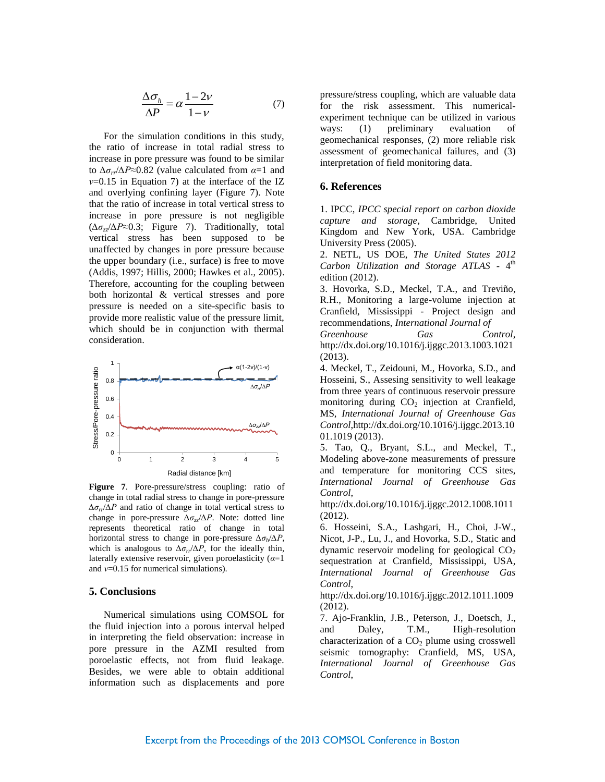$$
\frac{\Delta \sigma_h}{\Delta P} = \alpha \frac{1 - 2\nu}{1 - \nu} \tag{7}
$$

For the simulation conditions in this study, the ratio of increase in total radial stress to increase in pore pressure was found to be similar to *∆σrr*/*∆P*≈0.82 (value calculated from *α*=1 and *ν*=0.15 in Equation 7) at the interface of the IZ and overlying confining layer (Figure 7). Note that the ratio of increase in total vertical stress to increase in pore pressure is not negligible (*∆σzz*/*∆P*≈0.3; Figure 7). Traditionally, total vertical stress has been supposed to be unaffected by changes in pore pressure because the upper boundary (i.e., surface) is free to move (Addis, 1997; Hillis, 2000; Hawkes et al., 2005). Therefore, accounting for the coupling between both horizontal & vertical stresses and pore pressure is needed on a site-specific basis to provide more realistic value of the pressure limit, which should be in conjunction with thermal consideration.



**Figure 7**. Pore-pressure/stress coupling: ratio of change in total radial stress to change in pore-pressure *∆σrr*/*∆P* and ratio of change in total vertical stress to change in pore-pressure *∆σzz*/*∆P*. Note: dotted line represents theoretical ratio of change in total horizontal stress to change in pore-pressure *∆σ<sup>h</sup>* /*∆P*, which is analogous to  $\Delta \sigma_r / \Delta P$ , for the ideally thin, laterally extensive reservoir, given poroelasticity (*α*=1 and *ν*=0.15 for numerical simulations).

## **5. Conclusions**

Numerical simulations using COMSOL for the fluid injection into a porous interval helped in interpreting the field observation: increase in pore pressure in the AZMI resulted from poroelastic effects, not from fluid leakage. Besides, we were able to obtain additional information such as displacements and pore pressure/stress coupling, which are valuable data for the risk assessment. This numericalexperiment technique can be utilized in various ways: (1) preliminary evaluation of geomechanical responses, (2) more reliable risk assessment of geomechanical failures, and (3) interpretation of field monitoring data.

## **6. References**

1. IPCC, *IPCC special report on carbon dioxide capture and storage*, Cambridge, United Kingdom and New York, USA. Cambridge University Press (2005).

2. NETL, US DOE, *The United States 2012*  Carbon Utilization and Storage ATLAS - 4<sup>th</sup> edition (2012).

3. Hovorka, S.D., Meckel, T.A., and Treviño, R.H., Monitoring a large-volume injection at Cranfield, Mississippi - Project design and recommendations, *International Journal of Greenhouse Gas Control*, http://dx.doi.org/10.1016/j.ijggc.2013.1003.1021 (2013).

4. Meckel, T., Zeidouni, M., Hovorka, S.D., and Hosseini, S., Assesing sensitivity to well leakage from three years of continuous reservoir pressure monitoring during  $CO<sub>2</sub>$  injection at Cranfield, MS, *International Journal of Greenhouse Gas Control*,http://dx.doi.org/10.1016/j.ijggc.2013.10 01.1019 (2013).

5. Tao, Q., Bryant, S.L., and Meckel, T., Modeling above-zone measurements of pressure and temperature for monitoring CCS sites, *International Journal of Greenhouse Gas Control*,

http://dx.doi.org/10.1016/j.ijggc.2012.1008.1011 (2012).

6. Hosseini, S.A., Lashgari, H., Choi, J-W., Nicot, J-P., Lu, J., and Hovorka, S.D., Static and dynamic reservoir modeling for geological  $CO<sub>2</sub>$ sequestration at Cranfield, Mississippi, USA, *International Journal of Greenhouse Gas Control*,

http://dx.doi.org/10.1016/j.ijggc.2012.1011.1009 (2012).

7. Ajo-Franklin, J.B., Peterson, J., Doetsch, J., and Daley, T.M., High-resolution characterization of a  $CO<sub>2</sub>$  plume using crosswell seismic tomography: Cranfield, MS, USA, *International Journal of Greenhouse Gas Control*,